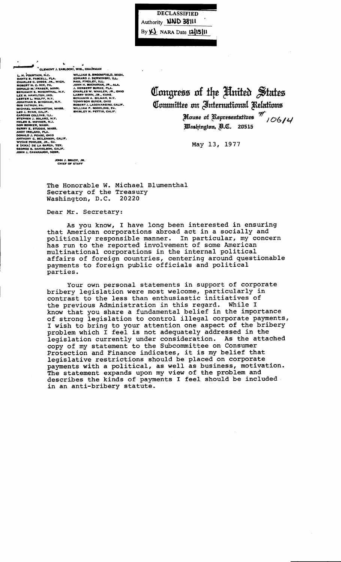**DECLASSIFIED** Authority **NND 38111** By KI NARA Date 1215 | II

CLEMENT J. ZABLOCKI, WIS., CHA/RMAN CLEMENT J. ZABL<br>L. H. FOUNTAIN, N.C.<br>CHARLES C. DIGGS, JR., MICH,<br>ROBERT N. C. NIX, PA.<br>ROBERT N. C. NIX, PA.<br>DONALD M. TRASER, MINN,<br>LES N. HAMILTON, IND.<br>LES N. HAMILTON, IND.<br>LESTER L. WOLFF, N.Y.<br>QUATHAN B. BIGHAM, N.Y JONATHAN B. BINY-HAH<br>GUS YATRON, PA.<br>MICHAEL HARRINGTON, MASS.<br>LEO J. RYAN, CALIF.<br>CARDISS COLLINS, ILL. CARDISS COLLINS, ILL.<br>STEPHEN J. SOLARZ, N.Y.<br>HELEN S. MEYNER, N.J.<br>DON BONKER, WASH.<br>GERNY E. STUDDS, MASS.<br>ANDY IRELAND, FLA.<br>ANDY IRELAND, FLA.<br>DONALD J. PEASE, OHIO<br>WYCHE FOWLER, JR., GA.<br>E (KIKA) DE LA GARZA, TEX.<br>GEO

XI, WIS., CHAMMAN<br>
WILLIAM S. BROOMFIELD, MICH.<br>
EDWARD J. DERWINSKI, ILL.<br>
PAUL FINDLEY, ILL.<br>
JAHR H. BUCHANAN, JR., ALA.<br>
J. HERBERT BURKE, FLA.<br>
J. HERBERT BURKE, FLA.<br>
LARRY WINN, JR., KANS.<br>
TENNYSON GUYER, OHO.<br>
BER

Congress of the United States Committee on International Relations

> House of Representatives  $^{\overline{\mathcal{T}}},$  06/4 Washington, B.C. 20515

May 13, 1977

JOHN J. BRADY, JR.<br>CHIEF OF STAFF

The Honorable W. Michael Blumenthal Secretary of the Treasury Washington, D.C. 20220

Dear Mr. Secretary:

As you know, I have long been interested in ensuring that American corporations abroad act in a socially and politically responsible manner. In particular, my concern has run to the reported involvement of some American multinational corporations in the internal political affairs of foreign countries, centering around questionable payments to foreign public officials and political parties.

Your own personal statements in support of corporate bribery legislation were most welcome, particularly in contrast to the less than enthusiastic initiatives of the previous Administration in this regard. While I know that you share a fundamental belief in the importance of strong legislation to control illegal corporate payments,<br>I wish to bring to your attention one aspect of the bribery<br>problem which I feel is not adequately addressed in the legislation currently under consideration. As the attached copy of my statement to the Subcommittee on Consumer Protection and Finance indicates, it is my belief that legislative restrictions should be placed on corporate<br>payments with a political, as well as business, motivation. The statement expands upon my view of the problem and describes the kinds of payments I feel should be included in an anti-bribery statute.